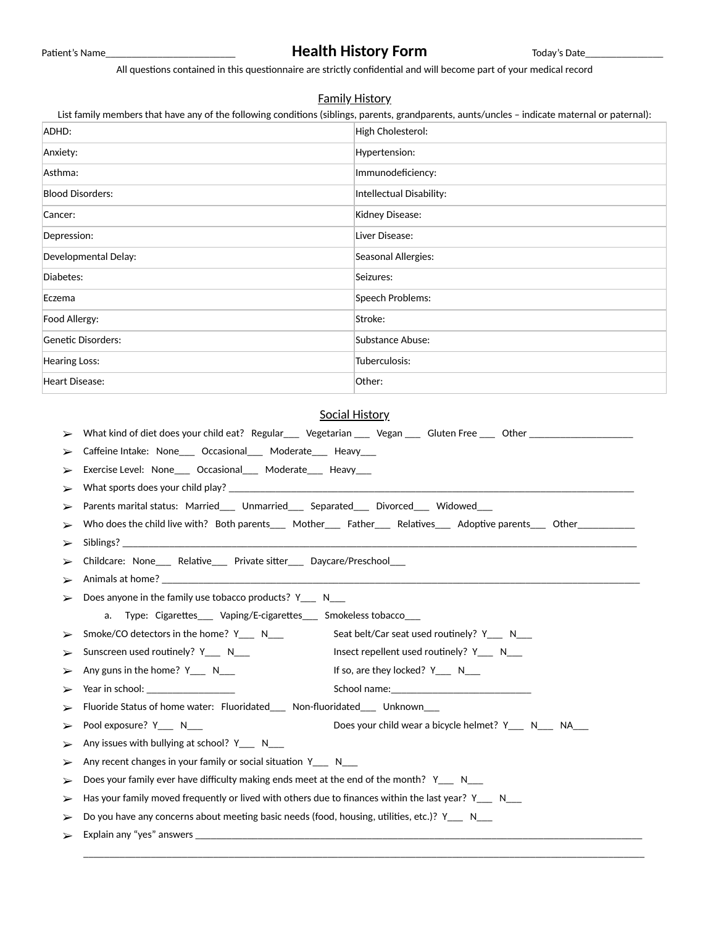# Patient's Name\_\_\_\_\_\_\_\_\_\_\_\_\_\_\_\_\_\_\_\_\_\_\_\_\_\_\_\_\_\_\_\_\_\_**Health History Form** Today's Date\_

All questions contained in this questionnaire are strictly confidential and will become part of your medical record

#### Family History

List family members that have any of the following conditions (siblings, parents, grandparents, aunts/uncles - indicate maternal or paternal):

| ADHD:                   | High Cholesterol:        |
|-------------------------|--------------------------|
| Anxiety:                | Hypertension:            |
| Asthma:                 | Immunodeficiency:        |
| <b>Blood Disorders:</b> | Intellectual Disability: |
| Cancer:                 | Kidney Disease:          |
| Depression:             | Liver Disease:           |
| Developmental Delay:    | Seasonal Allergies:      |
| Diabetes:               | Seizures:                |
| Eczema                  | Speech Problems:         |
| Food Allergy:           | Stroke:                  |
| Genetic Disorders:      | Substance Abuse:         |
| Hearing Loss:           | Tuberculosis:            |
| Heart Disease:          | Other:                   |

#### Social History

\_\_\_\_\_\_\_\_\_\_\_\_\_\_\_\_\_\_\_\_\_\_\_\_\_\_\_\_\_\_\_\_\_\_\_\_\_\_\_\_\_\_\_\_\_\_\_\_\_\_\_\_\_\_\_\_\_\_\_\_\_\_\_\_\_\_\_\_\_\_\_\_\_\_\_\_\_\_\_\_\_\_\_\_\_\_\_\_\_\_\_\_\_\_\_\_\_\_\_\_\_\_\_\_\_\_\_\_ ➢ What kind of diet does your child eat? Regular\_\_\_ Vegetarian \_\_\_ Vegan \_\_\_ Gluten Free \_\_\_ Other \_\_\_\_\_\_\_\_\_\_\_\_\_\_\_\_\_\_\_\_ Caffeine Intake: None\_\_\_ Occasional\_\_\_ Moderate\_\_\_ Heavy\_\_\_ Exercise Level: None\_\_\_ Occasional\_\_\_ Moderate\_\_\_ Heavy\_\_\_  $\triangleright$  What sports does your child play?  $\square$ Parents marital status: Married\_\_\_ Unmarried\_\_\_ Separated\_\_\_ Divorced\_\_\_ Widowed\_\_ > Who does the child live with? Both parents\_\_\_ Mother\_\_\_ Father\_\_\_ Relatives\_\_\_ Adoptive parents\_\_\_ Other\_\_\_\_\_\_ ➢ Siblings? \_\_\_\_\_\_\_\_\_\_\_\_\_\_\_\_\_\_\_\_\_\_\_\_\_\_\_\_\_\_\_\_\_\_\_\_\_\_\_\_\_\_\_\_\_\_\_\_\_\_\_\_\_\_\_\_\_\_\_\_\_\_\_\_\_\_\_\_\_\_\_\_\_\_\_\_\_\_\_\_\_\_\_\_\_\_\_\_\_\_\_\_\_\_\_\_\_\_\_ Childcare: None\_\_\_ Relative\_\_\_ Private sitter\_\_\_ Daycare/Preschool\_\_\_ Animals at home?  $\triangleright$  Does anyone in the family use tobacco products? Y\_\_\_ N\_\_\_ a. Type: Cigarettes\_\_\_ Vaping/E-cigarettes\_\_\_ Smokeless tobacco\_\_\_  $\triangleright$  Smoke/CO detectors in the home? Y\_\_\_ N\_\_\_ Seat belt/Car seat used routinely? Y\_\_\_ N\_\_ Sunscreen used routinely? Y\_\_\_ N\_\_\_ Insect repellent used routinely? Y\_\_\_ N\_\_\_ Any guns in the home?  $Y_1 \cup Y_2$   $N_2 \cup N_3$  If so, are they locked?  $Y_2 \cup Y_3$ ➢ Year in school: \_\_\_\_\_\_\_\_\_\_\_\_\_\_\_\_\_ School name:\_\_\_\_\_\_\_\_\_\_\_\_\_\_\_\_\_\_\_\_\_\_\_\_\_\_\_ Fluoride Status of home water: Fluoridated\_\_\_ Non-fluoridated\_\_\_ Unknown ➢ Pool exposure? Y\_\_\_ N\_\_\_ Does your child wear a bicycle helmet? Y\_\_\_ N\_\_\_ NA\_\_\_  $\triangleright$  Any issues with bullying at school? Y\_\_\_ N\_\_\_  $\triangleright$  Any recent changes in your family or social situation Y\_\_\_ N\_\_\_ Does your family ever have difficulty making ends meet at the end of the month?  $Y_N$ Has your family moved frequently or lived with others due to finances within the last year?  $Y_{\_\_\_\_\_N}$  N Do you have any concerns about meeting basic needs (food, housing, utilities, etc.)?  $Y_{\text{max}}$  N\_\_ ➢ Explain any "yes" answers \_\_\_\_\_\_\_\_\_\_\_\_\_\_\_\_\_\_\_\_\_\_\_\_\_\_\_\_\_\_\_\_\_\_\_\_\_\_\_\_\_\_\_\_\_\_\_\_\_\_\_\_\_\_\_\_\_\_\_\_\_\_\_\_\_\_\_\_\_\_\_\_\_\_\_\_\_\_\_\_\_\_\_\_\_\_